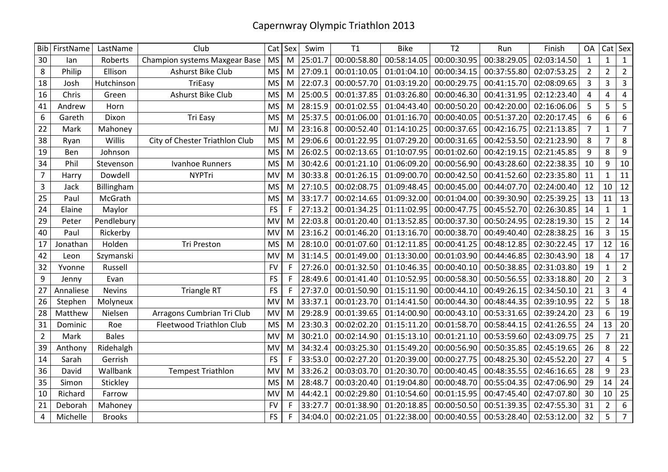|                | Bib FirstName | LastName      | Club                           |           | $Cat$ Sex    | Swim    | T1          | <b>Bike</b> | T <sub>2</sub> | Run         | Finish      | <b>OA</b>      | Cat            | Sex              |
|----------------|---------------|---------------|--------------------------------|-----------|--------------|---------|-------------|-------------|----------------|-------------|-------------|----------------|----------------|------------------|
| 30             | lan           | Roberts       | Champion systems Maxgear Base  | <b>MS</b> | M            | 25:01.7 | 00:00:58.80 | 00:58:14.05 | 00:00:30.95    | 00:38:29.05 | 02:03:14.50 | $\mathbf{1}$   | $\mathbf{1}$   | $\mathbf{1}$     |
| 8              | Philip        | Ellison       | Ashurst Bike Club              | <b>MS</b> | M            | 27:09.1 | 00:01:10.05 | 01:01:04.10 | 00:00:34.15    | 00:37:55.80 | 02:07:53.25 | $\overline{2}$ | $\overline{2}$ | $\overline{2}$   |
| 18             | Josh          | Hutchinson    | TriEasy                        | <b>MS</b> | M            | 22:07.3 | 00:00:57.70 | 01:03:19.20 | 00:00:29.75    | 00:41:15.70 | 02:08:09.65 | 3              | 3              | 3                |
| 16             | Chris         | Green         | Ashurst Bike Club              | <b>MS</b> | M            | 25:00.5 | 00:01:37.85 | 01:03:26.80 | 00:00:46.30    | 00:41:31.95 | 02:12:23.40 | 4              | 4              | 4                |
| 41             | Andrew        | Horn          |                                | <b>MS</b> | M            | 28:15.9 | 00:01:02.55 | 01:04:43.40 | 00:00:50.20    | 00:42:20.00 | 02:16:06.06 | 5              | 5              | 5                |
| 6              | Gareth        | Dixon         | Tri Easy                       | <b>MS</b> | M            | 25:37.5 | 00:01:06.00 | 01:01:16.70 | 00:00:40.05    | 00:51:37.20 | 02:20:17.45 | 6              | 6              | 6                |
| 22             | Mark          | Mahoney       |                                | MJ        | M            | 23:16.8 | 00:00:52.40 | 01:14:10.25 | 00:00:37.65    | 00:42:16.75 | 02:21:13.85 | $\overline{7}$ | 1              | $\overline{7}$   |
| 38             | Ryan          | Willis        | City of Chester Triathlon Club | <b>MS</b> | M            | 29:06.6 | 00:01:22.95 | 01:07:29.20 | 00:00:31.65    | 00:42:53.50 | 02:21:23.90 | 8              | $\overline{7}$ | 8                |
| 19             | Ben           | Johnson       |                                | <b>MS</b> | M            | 26:02.5 | 00:02:13.65 | 01:10:07.95 | 00:01:02.60    | 00:42:19.15 | 02:21:45.85 | 9              | 8              | 9                |
| 34             | Phil          | Stevenson     | <b>Ivanhoe Runners</b>         | <b>MS</b> | M            | 30:42.6 | 00:01:21.10 | 01:06:09.20 | 00:00:56.90    | 00:43:28.60 | 02:22:38.35 | 10             | 9              | 10               |
| $\overline{7}$ | Harry         | Dowdell       | <b>NYPTri</b>                  | MV        | M            | 30:33.8 | 00:01:26.15 | 01:09:00.70 | 00:00:42.50    | 00:41:52.60 | 02:23:35.80 | 11             | $\mathbf{1}$   | 11               |
| 3              | Jack          | Billingham    |                                | <b>MS</b> | M            | 27:10.5 | 00:02:08.75 | 01:09:48.45 | 00:00:45.00    | 00:44:07.70 | 02:24:00.40 | 12             | 10             | 12               |
| 25             | Paul          | McGrath       |                                | <b>MS</b> | M            | 33:17.7 | 00:02:14.65 | 01:09:32.00 | 00:01:04.00    | 00:39:30.90 | 02:25:39.25 | 13             | 11             | 13               |
| 24             | Elaine        | Maylor        |                                | <b>FS</b> | F            | 27:13.2 | 00:01:34.25 | 01:11:02.95 | 00:00:47.75    | 00:45:52.70 | 02:26:30.85 | 14             | 1              | $\mathbf{1}$     |
| 29             | Peter         | Pendlebury    |                                | MV        | M            | 22:03.8 | 00:01:20.40 | 01:13:52.85 | 00:00:37.30    | 00:50:24.95 | 02:28:19.30 | 15             | $\overline{2}$ | 14               |
| 40             | Paul          | Rickerby      |                                | MV        | M            | 23:16.2 | 00:01:46.20 | 01:13:16.70 | 00:00:38.70    | 00:49:40.40 | 02:28:38.25 | 16             | 3              | 15               |
| 17             | Jonathan      | Holden        | <b>Tri Preston</b>             | <b>MS</b> | M            | 28:10.0 | 00:01:07.60 | 01:12:11.85 | 00:00:41.25    | 00:48:12.85 | 02:30:22.45 | 17             | 12             | 16               |
| 42             | Leon          | Szymanski     |                                | MV        | M            | 31:14.5 | 00:01:49.00 | 01:13:30.00 | 00:01:03.90    | 00:44:46.85 | 02:30:43.90 | 18             | 4              | 17               |
| 32             | Yvonne        | Russell       |                                | <b>FV</b> | F            | 27:26.0 | 00:01:32.50 | 01:10:46.35 | 00:00:40.10    | 00:50:38.85 | 02:31:03.80 | 19             | $\mathbf{1}$   | $\overline{2}$   |
| 9              | Jenny         | Evan          |                                | <b>FS</b> | F            | 28:49.6 | 00:01:41.40 | 01:10:52.95 | 00:00:58.30    | 00:50:56.55 | 02:33:18.80 | 20             | $\overline{2}$ | 3                |
| 27             | Annaliese     | <b>Nevins</b> | <b>Triangle RT</b>             | <b>FS</b> | $\mathsf F$  | 27:37.0 | 00:01:50.90 | 01:15:11.90 | 00:00:44.10    | 00:49:26.15 | 02:34:50.10 | 21             | 3              | 4                |
| 26             | Stephen       | Molyneux      |                                | MV        | M            | 33:37.1 | 00:01:23.70 | 01:14:41.50 | 00:00:44.30    | 00:48:44.35 | 02:39:10.95 | 22             | 5              | 18               |
| 28             | Matthew       | Nielsen       | Arragons Cumbrian Tri Club     | MV        | M            | 29:28.9 | 00:01:39.65 | 01:14:00.90 | 00:00:43.10    | 00:53:31.65 | 02:39:24.20 | 23             | 6              | 19               |
| 31             | Dominic       | Roe           | Fleetwood Triathlon Club       | <b>MS</b> | M            | 23:30.3 | 00:02:02.20 | 01:15:11.20 | 00:01:58.70    | 00:58:44.15 | 02:41:26.55 | 24             | 13             | 20               |
| $\overline{2}$ | Mark          | <b>Bales</b>  |                                | MV        | M            | 30:21.0 | 00:02:14.90 | 01:15:13.10 | 00:01:21.10    | 00:53:59.60 | 02:43:09.75 | 25             | $\overline{7}$ | 21               |
| 39             | Anthony       | Ridehalgh     |                                | MV        | M            | 34:32.4 | 00:03:25.30 | 01:15:49.20 | 00:00:56.90    | 00:50:35.85 | 02:45:19.65 | 26             | 8              | 22               |
| 14             | Sarah         | Gerrish       |                                | <b>FS</b> | $\mathsf{F}$ | 33:53.0 | 00:02:27.20 | 01:20:39.00 | 00:00:27.75    | 00:48:25.30 | 02:45:52.20 | 27             | 4              | 5                |
| 36             | David         | Wallbank      | <b>Tempest Triathlon</b>       | MV        | M            | 33:26.2 | 00:03:03.70 | 01:20:30.70 | 00:00:40.45    | 00:48:35.55 | 02:46:16.65 | 28             | 9              | 23               |
| 35             | Simon         | Stickley      |                                | <b>MS</b> | M            | 28:48.7 | 00:03:20.40 | 01:19:04.80 | 00:00:48.70    | 00:55:04.35 | 02:47:06.90 | 29             | 14             | 24               |
| 10             | Richard       | Farrow        |                                | MV        | M            | 44:42.1 | 00:02:29.80 | 01:10:54.60 | 00:01:15.95    | 00:47:45.40 | 02:47:07.80 | 30             | 10             | 25               |
| 21             | Deborah       | Mahoney       |                                | <b>FV</b> | F            | 33:27.7 | 00:01:38.90 | 01:20:18.85 | 00:00:50.50    | 00:51:39.35 | 02:47:55.30 | 31             | $\overline{2}$ | $\boldsymbol{6}$ |
| 4              | Michelle      | <b>Brooks</b> |                                | <b>FS</b> | F            | 34:04.0 | 00:02:21.05 | 01:22:38.00 | 00:00:40.55    | 00:53:28.40 | 02:53:12.00 | 32             | 5              | $\overline{7}$   |